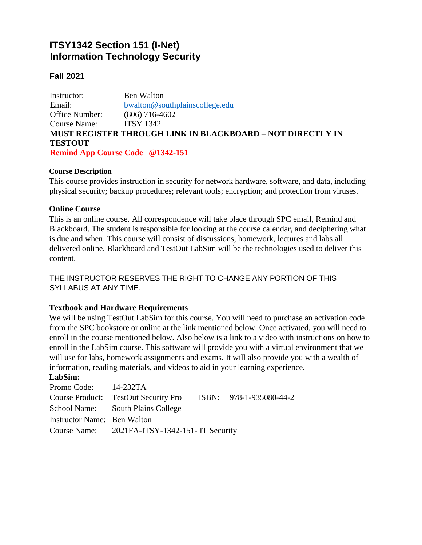# **ITSY1342 Section 151 (I-Net) Information Technology Security**

# **Fall 2021**

Instructor: Ben Walton Email: [bwalton@southplainscollege.edu](mailto:bwalton@southplainscollege.edu) Office Number: (806) 716-4602 Course Name: ITSY 1342 **MUST REGISTER THROUGH LINK IN BLACKBOARD – NOT DIRECTLY IN TESTOUT Remind App Course Code @1342-151**

#### **Course Description**

This course provides instruction in security for network hardware, software, and data, including physical security; backup procedures; relevant tools; encryption; and protection from viruses.

#### **Online Course**

This is an online course. All correspondence will take place through SPC email, Remind and Blackboard. The student is responsible for looking at the course calendar, and deciphering what is due and when. This course will consist of discussions, homework, lectures and labs all delivered online. Blackboard and TestOut LabSim will be the technologies used to deliver this content.

THE INSTRUCTOR RESERVES THE RIGHT TO CHANGE ANY PORTION OF THIS SYLLABUS AT ANY TIME.

# **Textbook and Hardware Requirements**

We will be using TestOut LabSim for this course. You will need to purchase an activation code from the SPC bookstore or online at the link mentioned below. Once activated, you will need to enroll in the course mentioned below. Also below is a link to a video with instructions on how to enroll in the LabSim course. This software will provide you with a virtual environment that we will use for labs, homework assignments and exams. It will also provide you with a wealth of information, reading materials, and videos to aid in your learning experience.

#### **LabSim:**

| Promo Code: 14-232TA        |                                                              |  |  |
|-----------------------------|--------------------------------------------------------------|--|--|
|                             | Course Product: TestOut Security Pro ISBN: 978-1-935080-44-2 |  |  |
|                             | School Name: South Plains College                            |  |  |
| Instructor Name: Ben Walton |                                                              |  |  |
|                             | Course Name: 2021FA-ITSY-1342-151- IT Security               |  |  |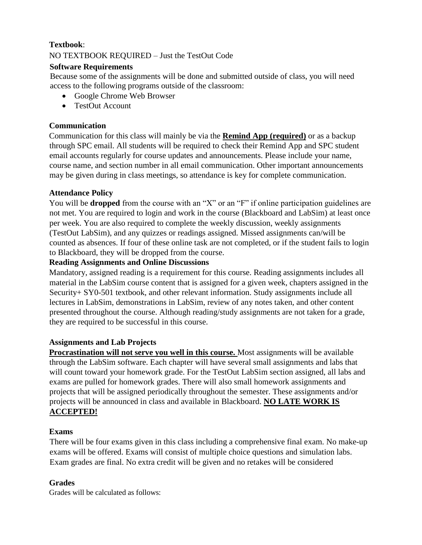# **Textbook**:

NO TEXTBOOK REQUIRED – Just the TestOut Code

# **Software Requirements**

Because some of the assignments will be done and submitted outside of class, you will need access to the following programs outside of the classroom:

- Google Chrome Web Browser
- TestOut Account

# **Communication**

Communication for this class will mainly be via the **Remind App (required)** or as a backup through SPC email. All students will be required to check their Remind App and SPC student email accounts regularly for course updates and announcements. Please include your name, course name, and section number in all email communication. Other important announcements may be given during in class meetings, so attendance is key for complete communication.

# **Attendance Policy**

You will be **dropped** from the course with an "X" or an "F" if online participation guidelines are not met. You are required to login and work in the course (Blackboard and LabSim) at least once per week. You are also required to complete the weekly discussion, weekly assignments (TestOut LabSim), and any quizzes or readings assigned. Missed assignments can/will be counted as absences. If four of these online task are not completed, or if the student fails to login to Blackboard, they will be dropped from the course.

# **Reading Assignments and Online Discussions**

Mandatory, assigned reading is a requirement for this course. Reading assignments includes all material in the LabSim course content that is assigned for a given week, chapters assigned in the Security+ SY0-501 textbook, and other relevant information. Study assignments include all lectures in LabSim, demonstrations in LabSim, review of any notes taken, and other content presented throughout the course. Although reading/study assignments are not taken for a grade, they are required to be successful in this course.

# **Assignments and Lab Projects**

**Procrastination will not serve you well in this course.** Most assignments will be available through the LabSim software. Each chapter will have several small assignments and labs that will count toward your homework grade. For the TestOut LabSim section assigned, all labs and exams are pulled for homework grades. There will also small homework assignments and projects that will be assigned periodically throughout the semester. These assignments and/or projects will be announced in class and available in Blackboard. **NO LATE WORK IS ACCEPTED!**

# **Exams**

There will be four exams given in this class including a comprehensive final exam. No make-up exams will be offered. Exams will consist of multiple choice questions and simulation labs. Exam grades are final. No extra credit will be given and no retakes will be considered

# **Grades**

Grades will be calculated as follows: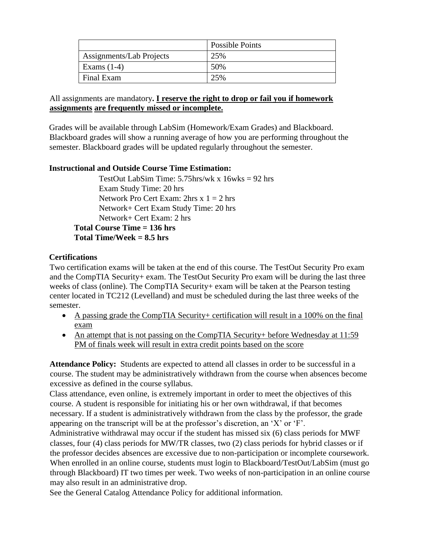|                          | Possible Points |
|--------------------------|-----------------|
| Assignments/Lab Projects | 25%             |
| Exams $(1-4)$            | 50%             |
| Final Exam               | 25%             |

# All assignments are mandatory**. I reserve the right to drop or fail you if homework assignments are frequently missed or incomplete.**

Grades will be available through LabSim (Homework/Exam Grades) and Blackboard. Blackboard grades will show a running average of how you are performing throughout the semester. Blackboard grades will be updated regularly throughout the semester.

# **Instructional and Outside Course Time Estimation:**

TestOut LabSim Time:  $5.75$ hrs/wk x  $16w$ ks = 92 hrs Exam Study Time: 20 hrs Network Pro Cert Exam:  $2 \text{hrs} \times 1 = 2 \text{ hrs}$ Network+ Cert Exam Study Time: 20 hrs Network+ Cert Exam: 2 hrs **Total Course Time = 136 hrs Total Time/Week = 8.5 hrs**

# **Certifications**

Two certification exams will be taken at the end of this course. The TestOut Security Pro exam and the CompTIA Security+ exam. The TestOut Security Pro exam will be during the last three weeks of class (online). The CompTIA Security+ exam will be taken at the Pearson testing center located in TC212 (Levelland) and must be scheduled during the last three weeks of the semester.

- A passing grade the CompTIA Security+ certification will result in a 100% on the final exam
- An attempt that is not passing on the CompTIA Security+ before Wednesday at 11:59 PM of finals week will result in extra credit points based on the score

**Attendance Policy:** Students are expected to attend all classes in order to be successful in a course. The student may be administratively withdrawn from the course when absences become excessive as defined in the course syllabus.

Class attendance, even online, is extremely important in order to meet the objectives of this course. A student is responsible for initiating his or her own withdrawal, if that becomes necessary. If a student is administratively withdrawn from the class by the professor, the grade appearing on the transcript will be at the professor's discretion, an 'X' or 'F'.

Administrative withdrawal may occur if the student has missed six (6) class periods for MWF classes, four (4) class periods for MW/TR classes, two (2) class periods for hybrid classes or if the professor decides absences are excessive due to non-participation or incomplete coursework. When enrolled in an online course, students must login to Blackboard/TestOut/LabSim (must go through Blackboard) IT two times per week. Two weeks of non-participation in an online course may also result in an administrative drop.

See the General Catalog Attendance Policy for additional information.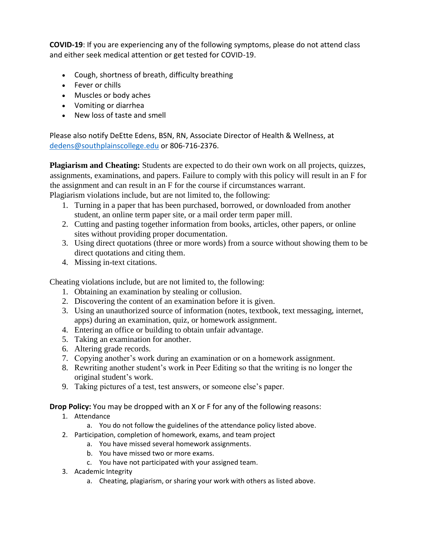**COVID-19**: If you are experiencing any of the following symptoms, please do not attend class and either seek medical attention or get tested for COVID-19.

- Cough, shortness of breath, difficulty breathing
- Fever or chills
- Muscles or body aches
- Vomiting or diarrhea
- New loss of taste and smell

Please also notify DeEtte Edens, BSN, RN, Associate Director of Health & Wellness, at [dedens@southplainscollege.edu](mailto:dedens@southplainscollege.edu) or 806-716-2376.

**Plagiarism and Cheating:** Students are expected to do their own work on all projects, quizzes, assignments, examinations, and papers. Failure to comply with this policy will result in an F for the assignment and can result in an F for the course if circumstances warrant.

Plagiarism violations include, but are not limited to, the following:

- 1. Turning in a paper that has been purchased, borrowed, or downloaded from another student, an online term paper site, or a mail order term paper mill.
- 2. Cutting and pasting together information from books, articles, other papers, or online sites without providing proper documentation.
- 3. Using direct quotations (three or more words) from a source without showing them to be direct quotations and citing them.
- 4. Missing in-text citations.

Cheating violations include, but are not limited to, the following:

- 1. Obtaining an examination by stealing or collusion.
- 2. Discovering the content of an examination before it is given.
- 3. Using an unauthorized source of information (notes, textbook, text messaging, internet, apps) during an examination, quiz, or homework assignment.
- 4. Entering an office or building to obtain unfair advantage.
- 5. Taking an examination for another.
- 6. Altering grade records.
- 7. Copying another's work during an examination or on a homework assignment.
- 8. Rewriting another student's work in Peer Editing so that the writing is no longer the original student's work.
- 9. Taking pictures of a test, test answers, or someone else's paper.

**Drop Policy:** You may be dropped with an X or F for any of the following reasons:

- 1. Attendance
	- a. You do not follow the guidelines of the attendance policy listed above.
- 2. Participation, completion of homework, exams, and team project
	- a. You have missed several homework assignments.
	- b. You have missed two or more exams.
	- c. You have not participated with your assigned team.
- 3. Academic Integrity
	- a. Cheating, plagiarism, or sharing your work with others as listed above.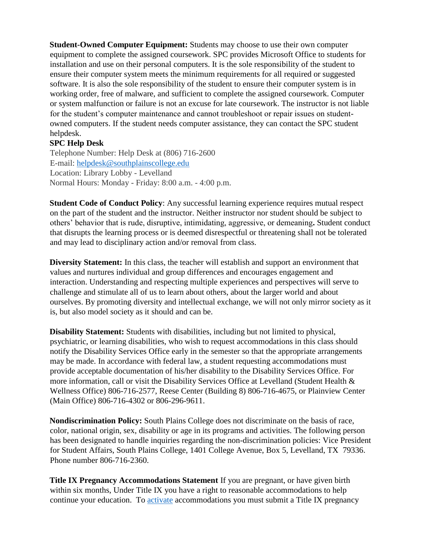**Student-Owned Computer Equipment:** Students may choose to use their own computer equipment to complete the assigned coursework. SPC provides Microsoft Office to students for installation and use on their personal computers. It is the sole responsibility of the student to ensure their computer system meets the minimum requirements for all required or suggested software. It is also the sole responsibility of the student to ensure their computer system is in working order, free of malware, and sufficient to complete the assigned coursework. Computer or system malfunction or failure is not an excuse for late coursework. The instructor is not liable for the student's computer maintenance and cannot troubleshoot or repair issues on studentowned computers. If the student needs computer assistance, they can contact the SPC student helpdesk.

# **SPC Help Desk**

Telephone Number: Help Desk at (806) 716-2600 E-mail: [helpdesk@southplainscollege.edu](mailto:helpdesk@southplainscollege.edu) Location: Library Lobby - Levelland Normal Hours: Monday - Friday: 8:00 a.m. - 4:00 p.m.

**Student Code of Conduct Policy**: Any successful learning experience requires mutual respect on the part of the student and the instructor. Neither instructor nor student should be subject to others' behavior that is rude, disruptive, intimidating, aggressive, or demeaning**.** Student conduct that disrupts the learning process or is deemed disrespectful or threatening shall not be tolerated and may lead to disciplinary action and/or removal from class.

**Diversity Statement:** In this class, the teacher will establish and support an environment that values and nurtures individual and group differences and encourages engagement and interaction. Understanding and respecting multiple experiences and perspectives will serve to challenge and stimulate all of us to learn about others, about the larger world and about ourselves. By promoting diversity and intellectual exchange, we will not only mirror society as it is, but also model society as it should and can be.

**Disability Statement:** Students with disabilities, including but not limited to physical, psychiatric, or learning disabilities, who wish to request accommodations in this class should notify the Disability Services Office early in the semester so that the appropriate arrangements may be made. In accordance with federal law, a student requesting accommodations must provide acceptable documentation of his/her disability to the Disability Services Office. For more information, call or visit the Disability Services Office at Levelland (Student Health & Wellness Office) 806-716-2577, Reese Center (Building 8) 806-716-4675, or Plainview Center (Main Office) 806-716-4302 or 806-296-9611.

**Nondiscrimination Policy:** South Plains College does not discriminate on the basis of race, color, national origin, sex, disability or age in its programs and activities. The following person has been designated to handle inquiries regarding the non-discrimination policies: Vice President for Student Affairs, South Plains College, 1401 College Avenue, Box 5, Levelland, TX 79336. Phone number 806-716-2360.

**Title IX Pregnancy Accommodations Statement** If you are pregnant, or have given birth within six months, Under Title IX you have a right to reasonable accommodations to help continue your education. To [activate](http://www.southplainscollege.edu/employees/manualshandbooks/facultyhandbook/sec4.php) accommodations you must submit a Title IX pregnancy